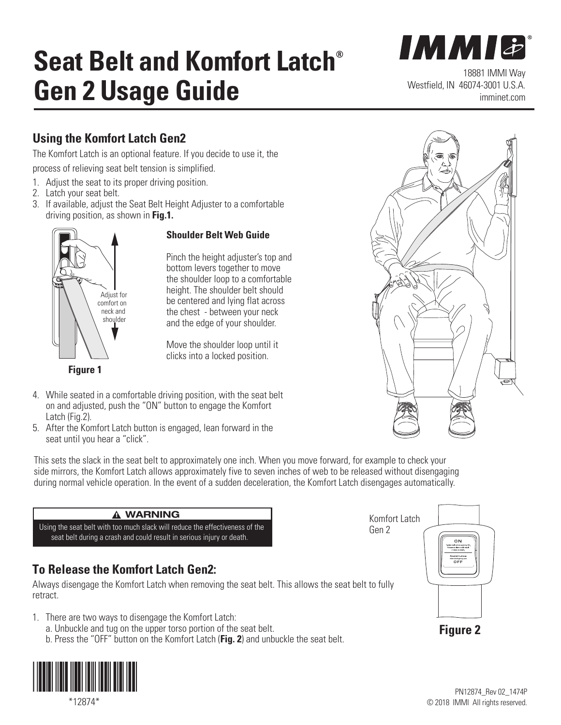# **Seat Belt and Komfort Latch® Gen 2 Usage Guide**

18881 IMMI Way Westfield, IN 46074-3001 U.S.A. imminet.com

**IMMI&** 

### **Using the Komfort Latch Gen2**

The Komfort Latch is an optional feature. If you decide to use it, the process of relieving seat belt tension is simplified.

- 1. Adjust the seat to its proper driving position.
- 2. Latch your seat belt.

Adjust for<br>
and Comfort on

**Figure 1**

neck and shoulder

3. If available, adjust the Seat Belt Height Adjuster to a comfortable driving position, as shown in **Fig.1.**



Pinch the height adjuster's top and bottom levers together to move the shoulder loop to a comfortable height. The shoulder belt should be centered and lying flat across the chest - between your neck and the edge of your shoulder.

Move the shoulder loop until it clicks into a locked position.

- 4. While seated in a comfortable driving position, with the seat belt on and adjusted, push the "ON" button to engage the Komfort Latch (Fig.2).
- 5. After the Komfort Latch button is engaged, lean forward in the seat until you hear a "click".

This sets the slack in the seat belt to approximately one inch. When you move forward, for example to check your side mirrors, the Komfort Latch allows approximately five to seven inches of web to be released without disengaging during normal vehicle operation. In the event of a sudden deceleration, the Komfort Latch disengages automatically.

#### p! **WARNING**

Using the seat belt with too much slack will reduce the effectiveness of the seat belt during a crash and could result in serious injury or death.

### **To Release the Komfort Latch Gen2:**

Always disengage the Komfort Latch when removing the seat belt. This allows the seat belt to fully retract.

- 1. There are two ways to disengage the Komfort Latch:
	- a. Unbuckle and tug on the upper torso portion of the seat belt.
	- b. Press the "OFF" button on the Komfort Latch (**Fig. 2**) and unbuckle the seat belt.



\*12874\*





Gen 2